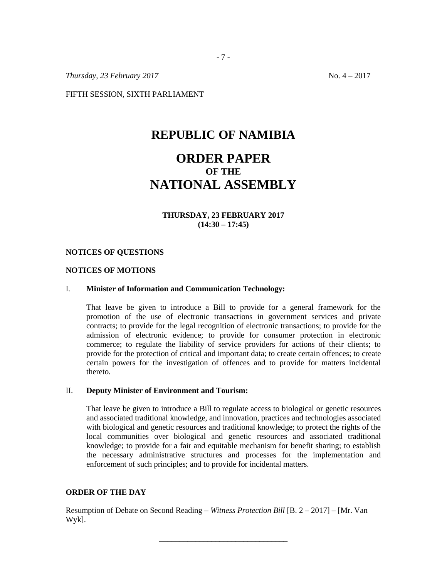*Thursday, 23 February 2017* No. 4 – 2017

FIFTH SESSION, SIXTH PARLIAMENT

# **REPUBLIC OF NAMIBIA**

# **ORDER PAPER OF THE NATIONAL ASSEMBLY**

#### **THURSDAY, 23 FEBRUARY 2017 (14:30 – 17:45)**

#### **NOTICES OF QUESTIONS**

#### **NOTICES OF MOTIONS**

#### I. **Minister of Information and Communication Technology:**

That leave be given to introduce a Bill to provide for a general framework for the promotion of the use of electronic transactions in government services and private contracts; to provide for the legal recognition of electronic transactions; to provide for the admission of electronic evidence; to provide for consumer protection in electronic commerce; to regulate the liability of service providers for actions of their clients; to provide for the protection of critical and important data; to create certain offences; to create certain powers for the investigation of offences and to provide for matters incidental thereto.

#### II. **Deputy Minister of Environment and Tourism:**

That leave be given to introduce a Bill to regulate access to biological or genetic resources and associated traditional knowledge, and innovation, practices and technologies associated with biological and genetic resources and traditional knowledge; to protect the rights of the local communities over biological and genetic resources and associated traditional knowledge; to provide for a fair and equitable mechanism for benefit sharing; to establish the necessary administrative structures and processes for the implementation and enforcement of such principles; and to provide for incidental matters.

## **ORDER OF THE DAY**

Resumption of Debate on Second Reading – *Witness Protection Bill* [B. 2 – 2017] – [Mr. Van Wyk].

\_\_\_\_\_\_\_\_\_\_\_\_\_\_\_\_\_\_\_\_\_\_\_\_\_\_\_\_\_\_\_\_